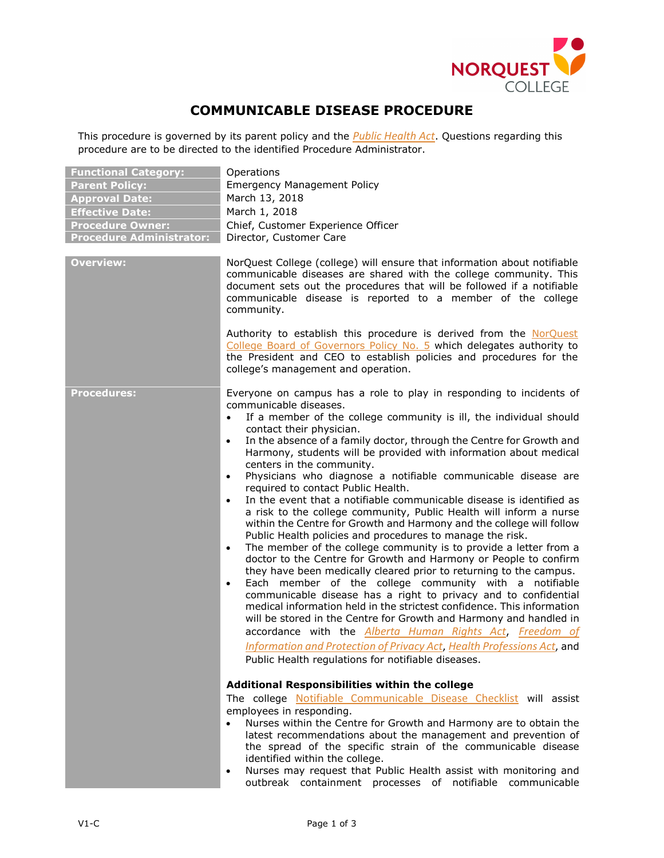

## **COMMUNICABLE DISEASE PROCEDURE**

This procedure is governed by its parent policy and the *[Public Health Act](http://www.qp.alberta.ca/documents/Acts/P37.pdf)*. Questions regarding this procedure are to be directed to the identified Procedure Administrator.

| <b>Functional Category:</b>     | Operations                                                                                                                                                                                                                                                                                                                                                                                                                                                                                                                                                                                                                                                                                                                                                                                                                                                                                                                                                                                                                                                                                                                 |
|---------------------------------|----------------------------------------------------------------------------------------------------------------------------------------------------------------------------------------------------------------------------------------------------------------------------------------------------------------------------------------------------------------------------------------------------------------------------------------------------------------------------------------------------------------------------------------------------------------------------------------------------------------------------------------------------------------------------------------------------------------------------------------------------------------------------------------------------------------------------------------------------------------------------------------------------------------------------------------------------------------------------------------------------------------------------------------------------------------------------------------------------------------------------|
| <b>Parent Policy:</b>           | <b>Emergency Management Policy</b>                                                                                                                                                                                                                                                                                                                                                                                                                                                                                                                                                                                                                                                                                                                                                                                                                                                                                                                                                                                                                                                                                         |
| <b>Approval Date:</b>           | March 13, 2018                                                                                                                                                                                                                                                                                                                                                                                                                                                                                                                                                                                                                                                                                                                                                                                                                                                                                                                                                                                                                                                                                                             |
| <b>Effective Date:</b>          | March 1, 2018                                                                                                                                                                                                                                                                                                                                                                                                                                                                                                                                                                                                                                                                                                                                                                                                                                                                                                                                                                                                                                                                                                              |
| <b>Procedure Owner:</b>         | Chief, Customer Experience Officer                                                                                                                                                                                                                                                                                                                                                                                                                                                                                                                                                                                                                                                                                                                                                                                                                                                                                                                                                                                                                                                                                         |
| <b>Procedure Administrator:</b> | Director, Customer Care                                                                                                                                                                                                                                                                                                                                                                                                                                                                                                                                                                                                                                                                                                                                                                                                                                                                                                                                                                                                                                                                                                    |
| <b>Overview:</b>                | NorQuest College (college) will ensure that information about notifiable<br>communicable diseases are shared with the college community. This<br>document sets out the procedures that will be followed if a notifiable<br>communicable disease is reported to a member of the college<br>community.                                                                                                                                                                                                                                                                                                                                                                                                                                                                                                                                                                                                                                                                                                                                                                                                                       |
|                                 | Authority to establish this procedure is derived from the NorQuest<br>College Board of Governors Policy No. 5 which delegates authority to<br>the President and CEO to establish policies and procedures for the<br>college's management and operation.                                                                                                                                                                                                                                                                                                                                                                                                                                                                                                                                                                                                                                                                                                                                                                                                                                                                    |
| <b>Procedures:</b>              | Everyone on campus has a role to play in responding to incidents of<br>communicable diseases.<br>If a member of the college community is ill, the individual should<br>$\bullet$<br>contact their physician.<br>In the absence of a family doctor, through the Centre for Growth and<br>$\bullet$<br>Harmony, students will be provided with information about medical<br>centers in the community.<br>Physicians who diagnose a notifiable communicable disease are<br>$\bullet$<br>required to contact Public Health.<br>In the event that a notifiable communicable disease is identified as<br>$\bullet$<br>a risk to the college community, Public Health will inform a nurse<br>within the Centre for Growth and Harmony and the college will follow<br>Public Health policies and procedures to manage the risk.<br>The member of the college community is to provide a letter from a<br>$\bullet$<br>doctor to the Centre for Growth and Harmony or People to confirm<br>they have been medically cleared prior to returning to the campus.<br>Each member of the college community with a notifiable<br>$\bullet$ |
|                                 | communicable disease has a right to privacy and to confidential<br>medical information held in the strictest confidence. This information<br>will be stored in the Centre for Growth and Harmony and handled in<br>accordance with the Alberta Human Rights Act, Freedom of<br>Information and Protection of Privacy Act, Health Professions Act, and<br>Public Health regulations for notifiable diseases.<br>Additional Responsibilities within the college<br>The college Notifiable Communicable Disease Checklist will assist<br>employees in responding.<br>Nurses within the Centre for Growth and Harmony are to obtain the<br>$\bullet$<br>latest recommendations about the management and prevention of<br>the spread of the specific strain of the communicable disease<br>identified within the college.<br>Nurses may request that Public Health assist with monitoring and<br>$\bullet$                                                                                                                                                                                                                      |
|                                 | outbreak containment processes of notifiable communicable                                                                                                                                                                                                                                                                                                                                                                                                                                                                                                                                                                                                                                                                                                                                                                                                                                                                                                                                                                                                                                                                  |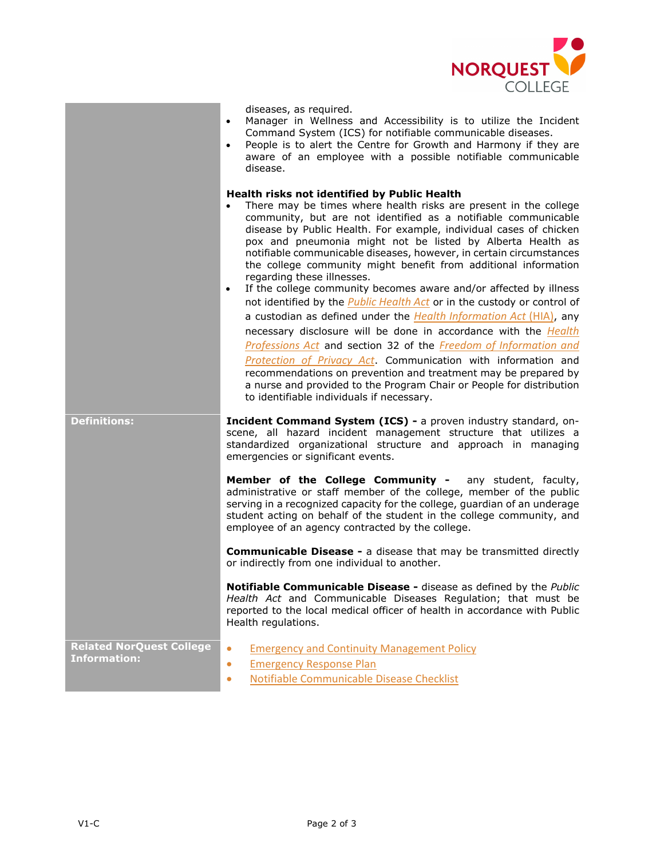

|                                                        | diseases, as required.<br>Manager in Wellness and Accessibility is to utilize the Incident<br>$\bullet$<br>Command System (ICS) for notifiable communicable diseases.<br>People is to alert the Centre for Growth and Harmony if they are<br>$\bullet$<br>aware of an employee with a possible notifiable communicable<br>disease.                                                                                                                                                                                                                                                                                                                                                                                                                                                                                                                                                                                                                                                                                                                                                                                                                   |
|--------------------------------------------------------|------------------------------------------------------------------------------------------------------------------------------------------------------------------------------------------------------------------------------------------------------------------------------------------------------------------------------------------------------------------------------------------------------------------------------------------------------------------------------------------------------------------------------------------------------------------------------------------------------------------------------------------------------------------------------------------------------------------------------------------------------------------------------------------------------------------------------------------------------------------------------------------------------------------------------------------------------------------------------------------------------------------------------------------------------------------------------------------------------------------------------------------------------|
|                                                        | Health risks not identified by Public Health<br>There may be times where health risks are present in the college<br>$\bullet$<br>community, but are not identified as a notifiable communicable<br>disease by Public Health. For example, individual cases of chicken<br>pox and pneumonia might not be listed by Alberta Health as<br>notifiable communicable diseases, however, in certain circumstances<br>the college community might benefit from additional information<br>regarding these illnesses.<br>If the college community becomes aware and/or affected by illness<br>$\bullet$<br>not identified by the <i>Public Health Act</i> or in the custody or control of<br>a custodian as defined under the Health Information Act (HIA), any<br>necessary disclosure will be done in accordance with the Health<br>Professions Act and section 32 of the Freedom of Information and<br>Protection of Privacy Act. Communication with information and<br>recommendations on prevention and treatment may be prepared by<br>a nurse and provided to the Program Chair or People for distribution<br>to identifiable individuals if necessary. |
| <b>Definitions:</b>                                    | Incident Command System (ICS) - a proven industry standard, on-<br>scene, all hazard incident management structure that utilizes a<br>standardized organizational structure and approach in managing<br>emergencies or significant events.                                                                                                                                                                                                                                                                                                                                                                                                                                                                                                                                                                                                                                                                                                                                                                                                                                                                                                           |
|                                                        | Member of the College Community - any student, faculty,<br>administrative or staff member of the college, member of the public<br>serving in a recognized capacity for the college, guardian of an underage<br>student acting on behalf of the student in the college community, and<br>employee of an agency contracted by the college.                                                                                                                                                                                                                                                                                                                                                                                                                                                                                                                                                                                                                                                                                                                                                                                                             |
|                                                        | <b>Communicable Disease - a disease that may be transmitted directly</b><br>or indirectly from one individual to another.                                                                                                                                                                                                                                                                                                                                                                                                                                                                                                                                                                                                                                                                                                                                                                                                                                                                                                                                                                                                                            |
|                                                        | Notifiable Communicable Disease - disease as defined by the Public<br>Health Act and Communicable Diseases Regulation; that must be<br>reported to the local medical officer of health in accordance with Public<br>Health regulations.                                                                                                                                                                                                                                                                                                                                                                                                                                                                                                                                                                                                                                                                                                                                                                                                                                                                                                              |
| <b>Related NorQuest College</b><br><b>Information:</b> | <b>Emergency and Continuity Management Policy</b><br>$\bullet$<br><b>Emergency Response Plan</b><br>$\bullet$<br>Notifiable Communicable Disease Checklist<br>$\bullet$                                                                                                                                                                                                                                                                                                                                                                                                                                                                                                                                                                                                                                                                                                                                                                                                                                                                                                                                                                              |